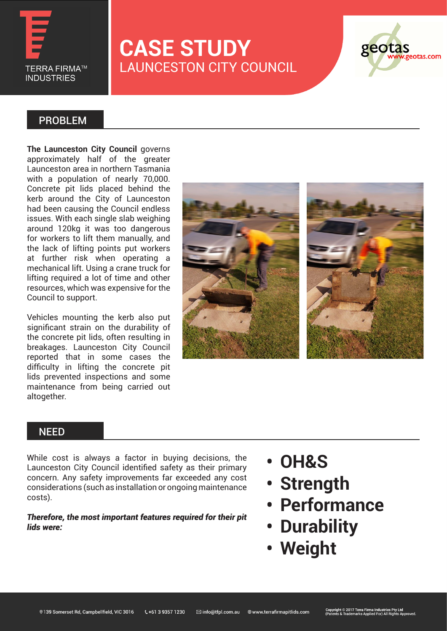

# **CASE STUDY** LAUNCESTON CITY COUNCIL



### PROBLEM

**The Launceston City Council** governs approximately half of the greater Launceston area in northern Tasmania with a population of nearly 70,000. Concrete pit lids placed behind the kerb around the City of Launceston had been causing the Council endless issues. With each single slab weighing around 120kg it was too dangerous for workers to lift them manually, and the lack of lifting points put workers at further risk when operating a mechanical lift. Using a crane truck for lifting required a lot of time and other resources, which was expensive for the Council to support.

Vehicles mounting the kerb also put significant strain on the durability of the concrete pit lids, often resulting in breakages. Launceston City Council reported that in some cases the difficulty in lifting the concrete pit lids prevented inspections and some maintenance from being carried out altogether.



#### **NEED**

While cost is always a factor in buying decisions, the Launceston City Council identified safety as their primary concern. Any safety improvements far exceeded any cost considerations (such as installation or ongoing maintenance costs).

*Therefore, the most important features required for their pit lids were:*

- **• OH&S**
- **• Strength**
- **• Performance**
- **• Durability**
- **• Weight**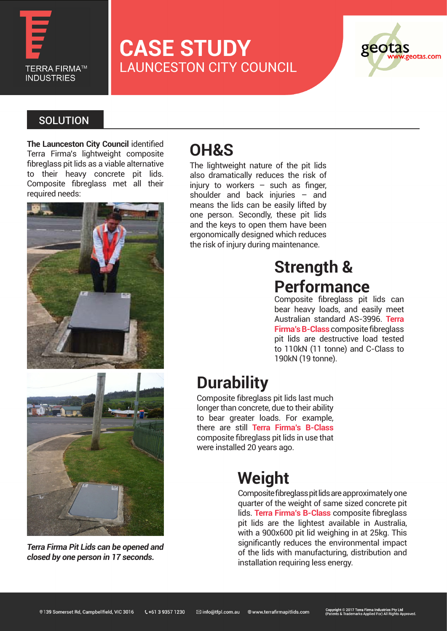

# **CASE STUDY** LAUNCESTON CITY COUNCIL



### **SOLUTION**

**The Launceston City Council** identified Terra Firma's lightweight composite fibreglass pit lids as a viable alternative to their heavy concrete pit lids. Composite fibreglass met all their required needs:



# **OH&S**

The lightweight nature of the pit lids also dramatically reduces the risk of injury to workers  $-$  such as finger, shoulder and back injuries – and means the lids can be easily lifted by one person. Secondly, these pit lids and the keys to open them have been ergonomically designed which reduces the risk of injury during maintenance.

## **Strength & Performance**

Composite fibreglass pit lids can bear heavy loads, and easily meet Australian standard AS-3996. **Terra Firma's B-Class** composite fibreglass pit lids are destructive load tested to 110kN (11 tonne) and C-Class to 190kN (19 tonne).



*Terra Firma Pit Lids can be opened and closed by one person in 17 seconds.* 

### **Durability**

Composite fibreglass pit lids last much longer than concrete, due to their ability to bear greater loads. For example, there are still **Terra Firma's B-Class** composite fibreglass pit lids in use that were installed 20 years ago.

# **Weight**

Composite fibreglass pit lids are approximately one quarter of the weight of same sized concrete pit lids. **Terra Firma's B-Class** composite fibreglass pit lids are the lightest available in Australia, with a 900x600 pit lid weighing in at 25kg. This significantly reduces the environmental impact of the lids with manufacturing, distribution and installation requiring less energy.